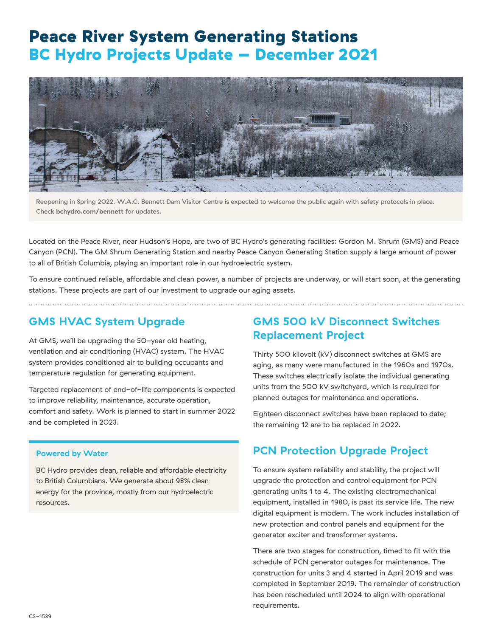# Peace River System Generating Stations BC Hydro Projects Update – December 2021



Reopening in Spring 2022. W.A.C. Bennett Dam Visitor Centre is expected to welcome the public again with safety protocols in place. Check **[bchydro.com/bennett](http://bchydro.com/bennett)** for updates.

Located on the Peace River, near Hudson's Hope, are two of BC Hydro's generating facilities: Gordon M. Shrum (GMS) and Peace Canyon (PCN). The GM Shrum Generating Station and nearby Peace Canyon Generating Station supply a large amount of power to all of British Columbia, playing an important role in our hydroelectric system.

To ensure continued reliable, affordable and clean power, a number of projects are underway, or will start soon, at the generating stations. These projects are part of our investment to upgrade our aging assets.

## **GMS HVAC System Upgrade**

At GMS, we'll be upgrading the 50-year old heating, ventilation and air conditioning (HVAC) system. The HVAC system provides conditioned air to building occupants and temperature regulation for generating equipment.

Targeted replacement of end-of-life components is expected to improve reliability, maintenance, accurate operation, comfort and safety. Work is planned to start in summer 2022 and be completed in 2023.

#### **Powered by Water**

BC Hydro provides clean, reliable and affordable electricity to British Columbians. We generate about 98% clean energy for the province, mostly from our hydroelectric resources.

### **GMS 500 kV Disconnect Switches Replacement Project**

Thirty 500 kilovolt (kV) disconnect switches at GMS are aging, as many were manufactured in the 1960s and 1970s. These switches electrically isolate the individual generating units from the 500 kV switchyard, which is required for planned outages for maintenance and operations.

Eighteen disconnect switches have been replaced to date; the remaining 12 are to be replaced in 2022.

### **PCN Protection Upgrade Project**

To ensure system reliability and stability, the project will upgrade the protection and control equipment for PCN generating units 1 to 4. The existing electromechanical equipment, installed in 1980, is past its service life. The new digital equipment is modern. The work includes installation of new protection and control panels and equipment for the generator exciter and transformer systems.

There are two stages for construction, timed to fit with the schedule of PCN generator outages for maintenance. The construction for units 3 and 4 started in April 2019 and was completed in September 2019. The remainder of construction has been rescheduled until 2024 to align with operational requirements.